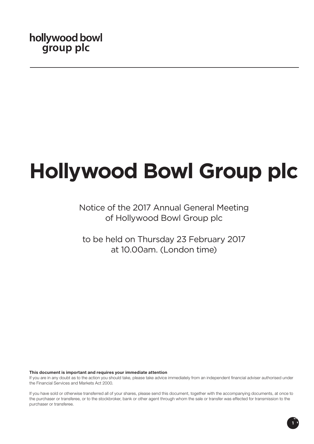# **Hollywood Bowl Group plc**

# Notice of the 2017 Annual General Meeting of Hollywood Bowl Group plc

to be held on Thursday 23 February 2017 at 10.00am. (London time)

# This document is important and requires your immediate attention

If you are in any doubt as to the action you should take, please take advice immediately from an independent financial adviser authorised under the Financial Services and Markets Act 2000.

If you have sold or otherwise transferred all of your shares, please send this document, together with the accompanying documents, at once to the purchaser or transferee, or to the stockbroker, bank or other agent through whom the sale or transfer was effected for transmission to the purchaser or transferee.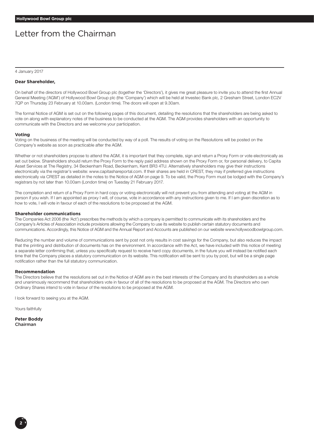# Letter from the Chairman

4 January 2017

## **Dear Shareholder,**

On behalf of the directors of Hollywood Bowl Group plc (together the 'Directors'), it gives me great pleasure to invite you to attend the first Annual General Meeting ('AGM') of Hollywood Bowl Group plc (the 'Company') which will be held at Investec Bank plc, 2 Gresham Street, London EC2V 7QP on Thursday 23 February at 10.00am. (London time). The doors will open at 9.30am.

The formal Notice of AGM is set out on the following pages of this document, detailing the resolutions that the shareholders are being asked to vote on along with explanatory notes of the business to be conducted at the AGM. The AGM provides shareholders with an opportunity to communicate with the Directors and we welcome your participation.

#### **Voting**

Voting on the business of the meeting will be conducted by way of a poll. The results of voting on the Resolutions will be posted on the Company's website as soon as practicable after the AGM.

Whether or not shareholders propose to attend the AGM, it is important that they complete, sign and return a Proxy Form or vote electronically as set out below. Shareholders should return the Proxy Form to the reply paid address shown on the Proxy Form or, for personal delivery, to Capita Asset Services at The Registry, 34 Beckenham Road, Beckenham, Kent BR3 4TU. Alternatively shareholders may give their instructions electronically via the registrar's website: www.capitashareportal.com. If their shares are held in CREST, they may if preferred give instructions electronically via CREST as detailed in the notes to the Notice of AGM on page 9. To be valid, the Proxy Form must be lodged with the Company's registrars by not later than 10.00am (London time) on Tuesday 21 February 2017.

The completion and return of a Proxy Form in hard copy or voting electronically will not prevent you from attending and voting at the AGM in person if you wish. If I am appointed as proxy I will, of course, vote in accordance with any instructions given to me. If I am given discretion as to how to vote, I will vote in favour of each of the resolutions to be proposed at the AGM.

#### **Shareholder communications**

The Companies Act 2006 (the 'Act') prescribes the methods by which a company is permitted to communicate with its shareholders and the Company's Articles of Association include provisions allowing the Company to use its website to publish certain statutory documents and communications. Accordingly, this Notice of AGM and the Annual Report and Accounts are published on our website www.hollywoodbowlgroup.com.

Reducing the number and volume of communications sent by post not only results in cost savings for the Company, but also reduces the impact that the printing and distribution of documents has on the environment. In accordance with the Act, we have included with this notice of meeting a separate letter confirming that, unless you specifically request to receive hard copy documents, in the future you will instead be notified each time that the Company places a statutory communication on its website. This notification will be sent to you by post, but will be a single page notification rather than the full statutory communication.

## **Recommendation**

The Directors believe that the resolutions set out in the Notice of AGM are in the best interests of the Company and its shareholders as a whole and unanimously recommend that shareholders vote in favour of all of the resolutions to be proposed at the AGM. The Directors who own Ordinary Shares intend to vote in favour of the resolutions to be proposed at the AGM.

I look forward to seeing you at the AGM.

Yours faithfully

**Peter Boddy** Chairman

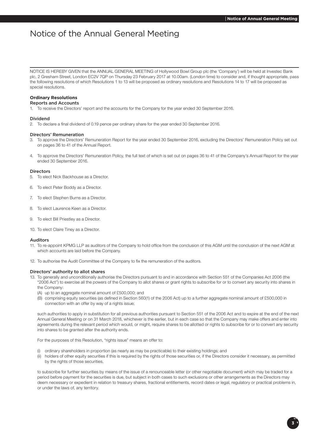# Notice of the Annual General Meeting

NOTICE IS HEREBY GIVEN that the ANNUAL GENERAL MEETING of Hollywood Bowl Group plc (the 'Company') will be held at Investec Bank plc, 2 Gresham Street, London EC2V 7QP on Thursday 23 February 2017 at 10.00am. (London time) to consider and, if thought appropriate, pass the following resolutions of which Resolutions 1 to 13 will be proposed as ordinary resolutions and Resolutions 14 to 17 will be proposed as special resolutions.

# **Ordinary Resolutions**

# Reports and Accounts

1. To receive the Directors' report and the accounts for the Company for the year ended 30 September 2016.

#### Dividend

2. To declare a final dividend of 0.19 pence per ordinary share for the year ended 30 September 2016.

#### Directors' Remuneration

- 3. To approve the Directors' Remuneration Report for the year ended 30 September 2016, excluding the Directors' Remuneration Policy set out on pages 36 to 41 of the Annual Report.
- 4. To approve the Directors' Remuneration Policy, the full text of which is set out on pages 36 to 41 of the Company's Annual Report for the year ended 30 September 2016.

## Directors

- 5. To elect Nick Backhouse as a Director.
- 6. To elect Peter Boddy as a Director.
- 7. To elect Stephen Burns as a Director.
- 8. To elect Laurence Keen as a Director.
- 9. To elect Bill Priestley as a Director.
- 10. To elect Claire Tiney as a Director.

## Auditors

- 11. To re-appoint KPMG LLP as auditors of the Company to hold office from the conclusion of this AGM until the conclusion of the next AGM at which accounts are laid before the Company.
- 12. To authorise the Audit Committee of the Company to fix the remuneration of the auditors.

#### Directors' authority to allot shares

- 13. To generally and unconditionally authorise the Directors pursuant to and in accordance with Section 551 of the Companies Act 2006 (the "2006 Act") to exercise all the powers of the Company to allot shares or grant rights to subscribe for or to convert any security into shares in
	- the Company:
	- (A) up to an aggregate nominal amount of £500,000; and
	- (B) comprising equity securities (as defined in Section 560(1) of the 2006 Act) up to a further aggregate nominal amount of £500,000 in connection with an offer by way of a rights issue;

such authorities to apply in substitution for all previous authorities pursuant to Section 551 of the 2006 Act and to expire at the end of the next Annual General Meeting or on 31 March 2018, whichever is the earlier, but in each case so that the Company may make offers and enter into agreements during the relevant period which would, or might, require shares to be allotted or rights to subscribe for or to convert any security into shares to be granted after the authority ends.

For the purposes of this Resolution, "rights issue" means an offer to:

- (i) ordinary shareholders in proportion (as nearly as may be practicable) to their existing holdings; and
- (ii) holders of other equity securities if this is required by the rights of those securities or, if the Directors consider it necessary, as permitted by the rights of those securities,

to subscribe for further securities by means of the issue of a renounceable letter (or other negotiable document) which may be traded for a period before payment for the securities is due, but subject in both cases to such exclusions or other arrangements as the Directors may deem necessary or expedient in relation to treasury shares, fractional entitlements, record dates or legal, regulatory or practical problems in, or under the laws of, any territory.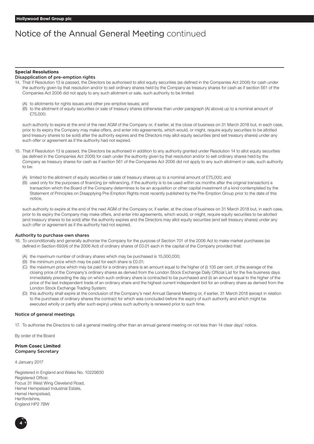# Notice of the Annual General Meeting continued

# **Special Resolutions**

# Disapplication of pre-emption rights

- 14. That if Resolution 13 is passed, the Directors be authorised to allot equity securities (as defined in the Companies Act 2006) for cash under the authority given by that resolution and/or to sell ordinary shares held by the Company as treasury shares for cash as if section 561 of the Companies Act 2006 did not apply to any such allotment or sale, such authority to be limited:
	- (A) to allotments for rights issues and other pre-emptive issues; and
	- (B) to the allotment of equity securities or sale of treasury shares (otherwise than under paragraph (A) above) up to a nominal amount of £75,000:

such authority to expire at the end of the next AGM of the Company or, if earlier, at the close of business on 31 March 2018 but, in each case, prior to its expiry the Company may make offers, and enter into agreements, which would, or might, require equity securities to be allotted (and treasury shares to be sold) after the authority expires and the Directors may allot equity securities (and sell treasury shares) under any such offer or agreement as if the authority had not expired.

- 15. That if Resolution 13 is passed, the Directors be authorised in addition to any authority granted under Resolution 14 to allot equity securities (as defined in the Companies Act 2006) for cash under the authority given by that resolution and/or to sell ordinary shares held by the Company as treasury shares for cash as if section 561 of the Companies Act 2006 did not apply to any such allotment or sale, such authority to be:
	- (A) limited to the allotment of equity securities or sale of treasury shares up to a nominal amount of £75,000; and
	- (B) used only for the purposes of financing (or refinancing, if the authority is to be used within six months after the original transaction) a transaction which the Board of the Company determines to be an acquisition or other capital investment of a kind contemplated by the Statement of Principles on Disapplying Pre-Emption Rights most recently published by the Pre-Emption Group prior to the date of this notice,

such authority to expire at the end of the next AGM of the Company or, if earlier, at the close of business on 31 March 2018 but, in each case, prior to its expiry the Company may make offers, and enter into agreements, which would, or might, require equity securities to be allotted (and treasury shares to be sold) after the authority expires and the Directors may allot equity securities (and sell treasury shares) under any such offer or agreement as if the authority had not expired.

#### Authority to purchase own shares

- 16. To unconditionally and generally authorise the Company for the purpose of Section 701 of the 2006 Act to make market purchases (as defined in Section 693(4) of the 2006 Act) of ordinary shares of £0.01 each in the capital of the Company provided that:
	- (A) the maximum number of ordinary shares which may be purchased is 15,000,000;
	- (B) the minimum price which may be paid for each share is £0.01;
	- (C) the maximum price which may be paid for a ordinary share is an amount equal to the higher of (i) 105 per cent. of the average of the closing price of the Company's ordinary shares as derived from the London Stock Exchange Daily Official List for the five business days immediately preceding the day on which such ordinary share is contracted to be purchased and (ii) an amount equal to the higher of the price of the last independent trade of an ordinary share and the highest current independent bid for an ordinary share as derived from the London Stock Exchange Trading System;
	- (D) this authority shall expire at the conclusion of the Company's next Annual General Meeting or, if earlier, 31 March 2018 (except in relation to the purchase of ordinary shares the contract for which was concluded before the expiry of such authority and which might be executed wholly or partly after such expiry) unless such authority is renewed prior to such time.

#### Notice of general meetings

17. To authorise the Directors to call a general meeting other than an annual general meeting on not less than 14 clear days' notice.

By order of the Board

# **Prism Cosec Limited** Company Secretary

4 January 2017

Registered in England and Wales No. 10229630 Registered Office: Focus 31 West Wing Cleveland Road, Hemel Hempstead Industrial Estate, Hemel Hempstead, Hertfordshire, England HP2 7BW

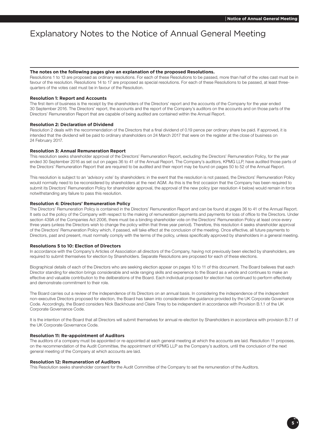# Explanatory Notes to the Notice of Annual General Meeting

#### **The notes on the following pages give an explanation of the proposed Resolutions.**

Resolutions 1 to 13 are proposed as ordinary resolutions. For each of these Resolutions to be passed, more than half of the votes cast must be in favour of the resolution. Resolutions 14 to 17 are proposed as special resolutions. For each of these Resolutions to be passed, at least threequarters of the votes cast must be in favour of the Resolution.

#### **Resolution 1: Report and Accounts**

The first item of business is the receipt by the shareholders of the Directors' report and the accounts of the Company for the year ended 30 September 2016. The Directors' report, the accounts and the report of the Company's auditors on the accounts and on those parts of the Directors' Remuneration Report that are capable of being audited are contained within the Annual Report.

# **Resolution 2: Declaration of Dividend**

Resolution 2 deals with the recommendation of the Directors that a final dividend of 0.19 pence per ordinary share be paid. If approved, it is intended that the dividend will be paid to ordinary shareholders on 24 March 2017 that were on the register at the close of business on 24 February 2017.

#### **Resolution 3: Annual Remuneration Report**

This resolution seeks shareholder approval of the Directors' Remuneration Report, excluding the Directors' Remuneration Policy, for the year ended 30 September 2016 as set out on pages 36 to 41 of the Annual Report. The Company's auditors, KPMG LLP, have audited those parts of the Directors' Remuneration Report that are required to be audited and their report may be found on pages 50 to 52 of the Annual Report.

This resolution is subject to an 'advisory vote' by shareholders: in the event that the resolution is not passed, the Directors' Remuneration Policy would normally need to be reconsidered by shareholders at the next AGM. As this is the first occasion that the Company has been required to submit its Directors' Remuneration Policy for shareholder approval, the approval of the new policy (per resolution 4 below) would remain in force notwithstanding any failure to pass this resolution.

#### **Resolution 4: Directors' Remuneration Policy**

The Directors' Remuneration Policy is contained in the Directors' Remuneration Report and can be found at pages 36 to 41 of the Annual Report. It sets out the policy of the Company with respect to the making of remuneration payments and payments for loss of office to the Directors. Under section 439A of the Companies Act 2006, there must be a binding shareholder vote on the Directors' Remuneration Policy at least once every three years (unless the Directors wish to change the policy within that three year period). Therefore, this resolution 4 seeks shareholder approval of the Directors' Remuneration Policy which, if passed, will take effect at the conclusion of the meeting. Once effective, all future payments to Directors, past and present, must normally comply with the terms of the policy, unless specifically approved by shareholders in a general meeting.

# **Resolutions 5 to 10: Election of Directors**

In accordance with the Company's Articles of Association all directors of the Company, having not previously been elected by shareholders, are required to submit themselves for election by Shareholders. Separate Resolutions are proposed for each of these elections.

Biographical details of each of the Directors who are seeking election appear on pages 10 to 11 of this document. The Board believes that each Director standing for election brings considerable and wide ranging skills and experience to the Board as a whole and continues to make an effective and valuable contribution to the deliberations of the Board. Each individual proposed for election has continued to perform effectively and demonstrate commitment to their role.

The Board carries out a review of the independence of its Directors on an annual basis. In considering the independence of the independent non-executive Directors proposed for election, the Board has taken into consideration the guidance provided by the UK Corporate Governance Code. Accordingly, the Board considers Nick Backhouse and Claire Tiney to be independent in accordance with Provision B.1.1 of the UK Corporate Governance Code.

It is the intention of the Board that all Directors will submit themselves for annual re-election by Shareholders in accordance with provision B.7.1 of the UK Corporate Governance Code.

#### **Resolution 11: Re-appointment of Auditors**

The auditors of a company must be appointed or re-appointed at each general meeting at which the accounts are laid. Resolution 11 proposes, on the recommendation of the Audit Committee, the appointment of KPMG LLP as the Company's auditors, until the conclusion of the next general meeting of the Company at which accounts are laid.

#### **Resolution 12: Remuneration of Auditors**

This Resolution seeks shareholder consent for the Audit Committee of the Company to set the remuneration of the Auditors.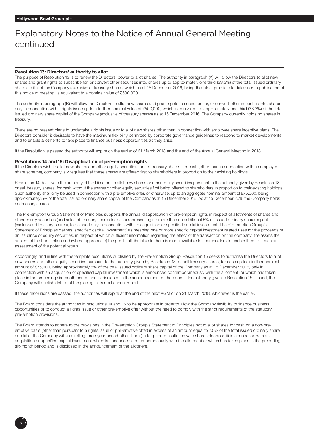# Explanatory Notes to the Notice of Annual General Meeting continued

# **Resolution 13: Directors' authority to allot**

The purpose of Resolution 13 is to renew the Directors' power to allot shares. The authority in paragraph (A) will allow the Directors to allot new shares and grant rights to subscribe for, or convert other securities into, shares up to approximately one third (33.3%) of the total issued ordinary share capital of the Company (exclusive of treasury shares) which as at 15 December 2016, being the latest practicable date prior to publication of this notice of meeting, is equivalent to a nominal value of £500,000.

The authority in paragraph (B) will allow the Directors to allot new shares and grant rights to subscribe for, or convert other securities into, shares only in connection with a rights issue up to a further nominal value of £500,000, which is equivalent to approximately one third (33.3%) of the total issued ordinary share capital of the Company (exclusive of treasury shares) as at 15 December 2016. The Company currently holds no shares in treasury.

There are no present plans to undertake a rights issue or to allot new shares other than in connection with employee share incentive plans. The Directors consider it desirable to have the maximum flexibility permitted by corporate governance guidelines to respond to market developments and to enable allotments to take place to finance business opportunities as they arise.

If the Resolution is passed the authority will expire on the earlier of 31 March 2018 and the end of the Annual General Meeting in 2018.

#### **Resolutions 14 and 15: Disapplication of pre-emption rights**

If the Directors wish to allot new shares and other equity securities, or sell treasury shares, for cash (other than in connection with an employee share scheme), company law requires that these shares are offered first to shareholders in proportion to their existing holdings.

Resolution 14 deals with the authority of the Directors to allot new shares or other equity securities pursuant to the authority given by Resolution 13, or sell treasury shares, for cash without the shares or other equity securities first being offered to shareholders in proportion to their existing holdings. Such authority shall only be used in connection with a pre-emptive offer, or otherwise, up to an aggregate nominal amount of £75,000, being approximately 5% of the total issued ordinary share capital of the Company as at 15 December 2016. As at 15 December 2016 the Company holds no treasury shares.

The Pre-emption Group Statement of Principles supports the annual disapplication of pre-emption rights in respect of allotments of shares and other equity securities (and sales of treasury shares for cash) representing no more than an additional 5% of issued ordinary share capital (exclusive of treasury shares), to be used only in connection with an acquisition or specified capital investment. The Pre-emption Group's Statement of Principles defines 'specified capital investment' as meaning one or more specific capital investment related uses for the proceeds of an issuance of equity securities, in respect of which sufficient information regarding the effect of the transaction on the company, the assets the subject of the transaction and (where appropriate) the profits attributable to them is made available to shareholders to enable them to reach an assessment of the potential return.

Accordingly, and in line with the template resolutions published by the Pre-emption Group, Resolution 15 seeks to authorise the Directors to allot new shares and other equity securities pursuant to the authority given by Resolution 13, or sell treasury shares, for cash up to a further nominal amount of £75,000, being approximately 5% of the total issued ordinary share capital of the Company as at 15 December 2016, only in connection with an acquisition or specified capital investment which is announced contemporaneously with the allotment, or which has taken place in the preceding six-month period and is disclosed in the announcement of the issue. If the authority given in Resolution 15 is used, the Company will publish details of the placing in its next annual report.

If these resolutions are passed, the authorities will expire at the end of the next AGM or on 31 March 2018, whichever is the earlier.

The Board considers the authorities in resolutions 14 and 15 to be appropriate in order to allow the Company flexibility to finance business opportunities or to conduct a rights issue or other pre-emptive offer without the need to comply with the strict requirements of the statutory pre-emption provisions.

The Board intends to adhere to the provisions in the Pre-emption Group's Statement of Principles not to allot shares for cash on a non-preemptive basis (other than pursuant to a rights issue or pre-emptive offer) in excess of an amount equal to 7.5% of the total issued ordinary share capital of the Company within a rolling three-year period other than (i) after prior consultation with shareholders or (ii) in connection with an acquisition or specified capital investment which is announced contemporaneously with the allotment or which has taken place in the preceding six-month period and is disclosed in the announcement of the allotment.

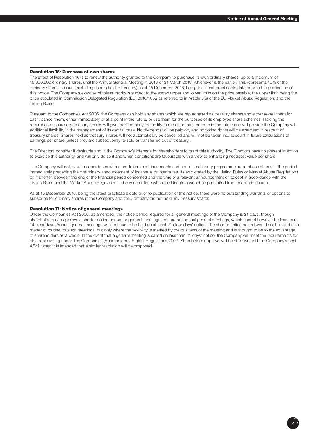## **Resolution 16: Purchase of own shares**

The effect of Resolution 16 is to renew the authority granted to the Company to purchase its own ordinary shares, up to a maximum of 15,000,000 ordinary shares, until the Annual General Meeting in 2018 or 31 March 2018, whichever is the earlier. This represents 10% of the ordinary shares in issue (excluding shares held in treasury) as at 15 December 2016, being the latest practicable date prior to the publication of this notice. The Company's exercise of this authority is subject to the stated upper and lower limits on the price payable, the upper limit being the price stipulated in Commission Delegated Regulation (EU) 2016/1052 as referred to in Article 5(6) of the EU Market Abuse Regulation, and the Listing Rules.

Pursuant to the Companies Act 2006, the Company can hold any shares which are repurchased as treasury shares and either re-sell them for cash, cancel them, either immediately or at a point in the future, or use them for the purposes of its employee share schemes. Holding the repurchased shares as treasury shares will give the Company the ability to re-sell or transfer them in the future and will provide the Company with additional flexibility in the management of its capital base. No dividends will be paid on, and no voting rights will be exercised in respect of, treasury shares. Shares held as treasury shares will not automatically be cancelled and will not be taken into account in future calculations of earnings per share (unless they are subsequently re-sold or transferred out of treasury).

The Directors consider it desirable and in the Company's interests for shareholders to grant this authority. The Directors have no present intention to exercise this authority, and will only do so if and when conditions are favourable with a view to enhancing net asset value per share.

The Company will not, save in accordance with a predetermined, irrevocable and non-discretionary programme, repurchase shares in the period immediately preceding the preliminary announcement of its annual or interim results as dictated by the Listing Rules or Market Abuse Regulations or, if shorter, between the end of the financial period concerned and the time of a relevant announcement or, except in accordance with the Listing Rules and the Market Abuse Regulations, at any other time when the Directors would be prohibited from dealing in shares.

As at 15 December 2016, being the latest practicable date prior to publication of this notice, there were no outstanding warrants or options to subscribe for ordinary shares in the Company and the Company did not hold any treasury shares.

#### **Resolution 17: Notice of general meetings**

Under the Companies Act 2006, as amended, the notice period required for all general meetings of the Company is 21 days, though shareholders can approve a shorter notice period for general meetings that are not annual general meetings, which cannot however be less than 14 clear days. Annual general meetings will continue to be held on at least 21 clear days' notice. The shorter notice period would not be used as a matter of routine for such meetings, but only where the flexibility is merited by the business of the meeting and is thought to be to the advantage of shareholders as a whole. In the event that a general meeting is called on less than 21 days' notice, the Company will meet the requirements for electronic voting under The Companies (Shareholders' Rights) Regulations 2009. Shareholder approval will be effective until the Company's next AGM, when it is intended that a similar resolution will be proposed.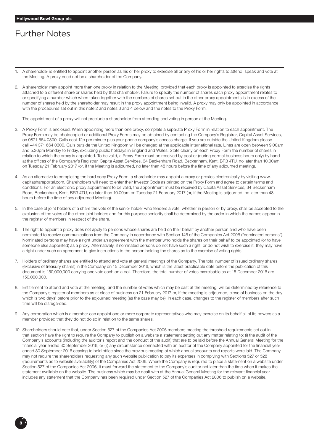# Further Notes

- 1. A shareholder is entitled to appoint another person as his or her proxy to exercise all or any of his or her rights to attend, speak and vote at the Meeting. A proxy need not be a shareholder of the Company.
- 2. A shareholder may appoint more than one proxy in relation to the Meeting, provided that each proxy is appointed to exercise the rights attached to a different share or shares held by that shareholder. Failure to specify the number of shares each proxy appointment relates to or specifying a number which when taken together with the numbers of shares set out in the other proxy appointments is in excess of the number of shares held by the shareholder may result in the proxy appointment being invalid. A proxy may only be appointed in accordance with the procedures set out in this note 2 and notes 3 and 4 below and the notes to the Proxy Form.

The appointment of a proxy will not preclude a shareholder from attending and voting in person at the Meeting.

- 3. A Proxy Form is enclosed. When appointing more than one proxy, complete a separate Proxy Form in relation to each appointment. The Proxy Form may be photocopied or additional Proxy Forms may be obtained by contacting the Company's Registrar, Capital Asset Services, on 0871 664 0300. Calls cost 12p per minute plus your phone company's access charge. If you are outside the United Kingdom please call +44 371 664 0300. Calls outside the United Kingdom will be charged at the applicable international rate. Lines are open between 9.00am and 5.30pm Monday to Friday, excluding public holidays in England and Wales. State clearly on each Proxy Form the number of shares in relation to which the proxy is appointed. To be valid, a Proxy Form must be received by post or (during normal business hours only) by hand at the offices of the Company's Registrar, Capita Asset Services, 34 Beckenham Road, Beckenham, Kent, BR3 4TU, no later than 10.00am on Tuesday 21 February 2017 (or, if the Meeting is adjourned, no later than 48 hours before the time of any adjourned meeting).
- 4. As an alternative to completing the hard copy Proxy Form, a shareholder may appoint a proxy or proxies electronically by visiting www. capitashareportal.com. Shareholders will need to enter their Investor Code as printed on the Proxy Form and agree to certain terms and conditions. For an electronic proxy appointment to be valid, the appointment must be received by Capita Asset Services, 34 Beckenham Road, Beckenham, Kent, BR3 4TU, no later than 10.00am on Tuesday 21 February 2017 (or, if the Meeting is adjourned, no later than 48 hours before the time of any adjourned Meeting).
- 5. In the case of joint holders of a share the vote of the senior holder who tenders a vote, whether in person or by proxy, shall be accepted to the exclusion of the votes of the other joint holders and for this purpose seniority shall be determined by the order in which the names appear in the register of members in respect of the share.
- 6. The right to appoint a proxy does not apply to persons whose shares are held on their behalf by another person and who have been nominated to receive communications from the Company in accordance with Section 146 of the Companies Act 2006 ("nominated persons"). Nominated persons may have a right under an agreement with the member who holds the shares on their behalf to be appointed (or to have someone else appointed) as a proxy. Alternatively, if nominated persons do not have such a right, or do not wish to exercise it, they may have a right under such an agreement to give instructions to the person holding the shares as to the exercise of voting rights.
- 7. Holders of ordinary shares are entitled to attend and vote at general meetings of the Company. The total number of issued ordinary shares (exclusive of treasury shares) in the Company on 15 December 2016, which is the latest practicable date before the publication of this document is 150,000,000 carrying one vote each on a poll. Therefore, the total number of votes exercisable as at 15 December 2016 are 150,000,000.
- 8. Entitlement to attend and vote at the meeting, and the number of votes which may be cast at the meeting, will be determined by reference to the Company's register of members as at close of business on 21 February 2017 or, if the meeting is adjourned, close of business on the day which is two days' before prior to the adjourned meeting (as the case may be). In each case, changes to the register of members after such time will be disregarded.
- 9. Any corporation which is a member can appoint one or more corporate representatives who may exercise on its behalf all of its powers as a member provided that they do not do so in relation to the same shares.
- 10. Shareholders should note that, under Section 527 of the Companies Act 2006 members meeting the threshold requirements set out in that section have the right to require the Company to publish on a website a statement setting out any matter relating to: (i) the audit of the Company's accounts (including the auditor's report and the conduct of the audit) that are to be laid before the Annual General Meeting for the financial year ended 30 September 2016; or (ii) any circumstance connected with an auditor of the Company appointed for the financial year ended 30 September 2016 ceasing to hold office since the previous meeting at which annual accounts and reports were laid. The Company may not require the shareholders requesting any such website publication to pay its expenses in complying with Sections 527 or 528 (requirements as to website availability) of the Companies Act 2006. Where the Company is required to place a statement on a website under Section 527 of the Companies Act 2006, it must forward the statement to the Company's auditor not later than the time when it makes the statement available on the website. The business which may be dealt with at the Annual General Meeting for the relevant financial year includes any statement that the Company has been required under Section 527 of the Companies Act 2006 to publish on a website.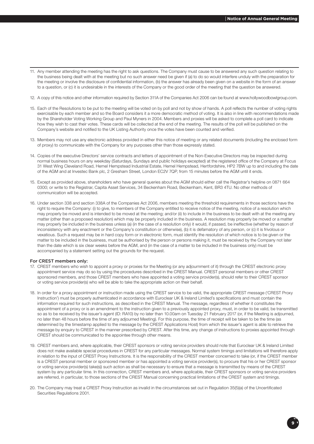- 11. Any member attending the meeting has the right to ask questions. The Company must cause to be answered any such question relating to the business being dealt with at the meeting but no such answer need be given if (a) to do so would interfere unduly with the preparation for the meeting or involve the disclosure of confidential information, (b) the answer has already been given on a website in the form of an answer to a question, or (c) it is undesirable in the interests of the Company or the good order of the meeting that the question be answered.
- 12. A copy of this notice and other information required by Section 311A of the Companies Act 2006 can be found at www.hollywoodbowlgroup.com.
- 15. Each of the Resolutions to be put to the meeting will be voted on by poll and not by show of hands. A poll reflects the number of voting rights exercisable by each member and so the Board considers it a more democratic method of voting. It is also in line with recommendations made by the Shareholder Voting Working Group and Paul Myners in 2004. Members and proxies will be asked to complete a poll card to indicate how they wish to cast their votes. These cards will be collected at the end of the meeting. The results of the poll will be published on the Company's website and notified to the UK Listing Authority once the votes have been counted and verified.
- 13. Members may not use any electronic address provided in either this notice of meeting or any related documents (including the enclosed form of proxy) to communicate with the Company for any purposes other than those expressly stated.
- 14. Copies of the executive Directors' service contracts and letters of appointment of the Non-Executive Directors may be inspected during normal business hours on any weekday (Saturdays, Sundays and public holidays excepted) at the registered office of the Company at Focus 31 West Wing Cleveland Road, Hemel Hempstead Industrial Estate, Hemel Hempstead, Hertfordshire, HP2 7BW up to and including the date of the AGM and at Investec Bank plc, 2 Gresham Street, London EC2V 7QP, from 15 minutes before the AGM until it ends.
- 15. Except as provided above, shareholders who have general queries about the AGM should either call the Registrar's helpline on 0871 664 0300; or write to the Registrar, Capita Asset Services, 34 Beckenham Road, Beckenham, Kent, BR3 4TU. No other methods of communication will be accepted.
- 16. Under section 338 and section 338A of the Companies Act 2006, members meeting the threshold requirements in those sections have the right to require the Company: (i) to give, to members of the Company entitled to receive notice of the meeting, notice of a resolution which may properly be moved and is intended to be moved at the meeting; and/or (ii) to include in the business to be dealt with at the meeting any matter (other than a proposed resolution) which may be properly included in the business. A resolution may properly be moved or a matter may properly be included in the business unless (a) (in the case of a resolution only) it would, if passed, be ineffective (whether by reason of inconsistency with any enactment or the Company's constitution or otherwise), (b) it is defamatory of any person, or (c) it is frivolous or vexatious. Such a request may be in hard copy form or in electronic form, must identify the resolution of which notice is to be given or the matter to be included in the business, must be authorised by the person or persons making it, must be received by the Company not later than the date which is six clear weeks before the AGM, and (in the case of a matter to be included in the business only) must be accompanied by a statement setting out the grounds for the request.

## For CREST members only:

- 17. CREST members who wish to appoint a proxy or proxies for the Meeting (or any adjournment of it) through the CREST electronic proxy appointment service may do so by using the procedures described in the CREST Manual. CREST personal members or other CREST sponsored members, and those CREST members who have appointed a voting service provider(s), should refer to their CREST sponsor or voting service provider(s) who will be able to take the appropriate action on their behalf.
- 18. In order for a proxy appointment or instruction made using the CREST service to be valid, the appropriate CREST message ('CREST Proxy Instruction') must be properly authenticated in accordance with Euroclear UK & Ireland Limited's specifications and must contain the information required for such instructions, as described in the CREST Manual. The message, regardless of whether it constitutes the appointment of a proxy or is an amendment to the instruction given to a previously appointed proxy, must, in order to be valid, be transmitted so as to be received by the issuer's agent (ID: RA10) by no later than 10.00am on Tuesday 21 February 2017 (or, if the Meeting is adjourned, no later than 48 hours before the time of any adjourned Meeting). For this purpose, the time of receipt will be taken to be the time (as determined by the timestamp applied to the message by the CREST Applications Host) from which the issuer's agent is able to retrieve the message by enquiry to CREST in the manner prescribed by CREST. After this time, any change of instructions to proxies appointed through CREST should be communicated to the appointee through other means.
- 19. CREST members and, where applicable, their CREST sponsors or voting service providers should note that Euroclear UK & Ireland Limited does not make available special procedures in CREST for any particular messages. Normal system timings and limitations will therefore apply in relation to the input of CREST Proxy Instructions. It is the responsibility of the CREST member concerned to take (or, if the CREST member is a CREST personal member or sponsored member or has appointed a voting service provider(s), to procure that his or her CREST sponsor or voting service provider(s) take(s)) such action as shall be necessary to ensure that a message is transmitted by means of the CREST system by any particular time. In this connection, CREST members and, where applicable, their CREST sponsors or voting service providers are referred, in particular, to those sections of the CREST Manual concerning practical limitations of the CREST system and timings.
- 20. The Company may treat a CREST Proxy Instruction as invalid in the circumstances set out in Regulation 35(5)(a) of the Uncertificated Securities Regulations 2001.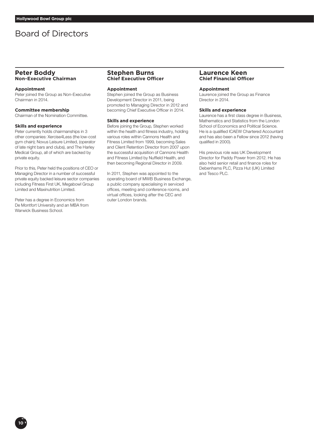# Board of Directors

# **Peter Boddy Non-Executive Chairman**

## **Appointment**

Peter joined the Group as Non-Executive Chairman in 2014.

## **Committee membership**

Chairman of the Nomination Committee.

# **Skills and experience**

Peter currently holds chairmanships in 3 other companies: Xercise4Less (the low-cost gym chain); Novus Leisure Limited, (operator of late night bars and clubs), and The Harley Medical Group, all of which are backed by private equity.

Prior to this, Peter held the positions of CEO or Managing Director in a number of successful private equity backed leisure sector companies including Fitness First UK, Megabowl Group Limited and Maxinutrition Limited.

Peter has a degree in Economics from De Montfort University and an MBA from Warwick Business School.

# **Stephen Burns Chief Executive Officer**

# **Appointment**

Stephen joined the Group as Business Development Director in 2011, being promoted to Managing Director in 2012 and becoming Chief Executive Officer in 2014.

#### **Skills and experience**

Before joining the Group, Stephen worked within the health and fitness industry, holding various roles within Cannons Health and Fitness Limited from 1999, becoming Sales and Client Retention Director from 2007 upon the successful acquisition of Cannons Health and Fitness Limited by Nuffield Health, and then becoming Regional Director in 2009.

In 2011, Stephen was appointed to the operating board of MWB Business Exchange, a public company specialising in serviced offices, meeting and conference rooms, and virtual offices, looking after the CEC and outer London brands.

# **Laurence Keen Chief Financial Officer**

# **Appointment**

Laurence joined the Group as Finance Director in 2014.

#### **Skills and experience**

Laurence has a first class degree in Business, Mathematics and Statistics from the London School of Economics and Political Science. He is a qualified ICAEW Chartered Accountant and has also been a Fellow since 2012 (having qualified in 2000).

His previous role was UK Development Director for Paddy Power from 2012. He has also held senior retail and finance roles for Debenhams PLC, Pizza Hut (UK) Limited and Tesco PLC.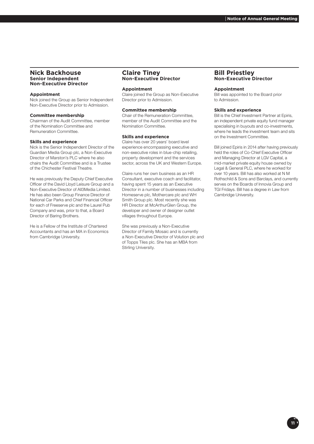# **Nick Backhouse Senior Independent Non-Executive Director**

# **Appointment**

Nick joined the Group as Senior Independent Non-Executive Director prior to Admission.

# **Committee membership**

Chairman of the Audit Committee, member of the Nomination Committee and Remuneration Committee.

## **Skills and experience**

Nick is the Senior Independent Director of the Guardian Media Group plc, a Non-Executive Director of Marston's PLC where he also chairs the Audit Committee and is a Trustee of the Chichester Festival Theatre.

He was previously the Deputy Chief Executive Officer of the David Lloyd Leisure Group and a Non-Executive Director of All3Media Limited. He has also been Group Finance Director of National Car Parks and Chief Financial Officer for each of Freeserve plc and the Laurel Pub Company and was, prior to that, a Board Director of Baring Brothers.

He is a Fellow of the Institute of Chartered Accountants and has an MA in Economics from Cambridge University.

# **Claire Tiney Non-Executive Director**

## **Appointment**

Claire joined the Group as Non-Executive Director prior to Admission.

## **Committee membership**

Chair of the Remuneration Committee, member of the Audit Committee and the Nomination Committee.

#### **Skills and experience**

Claire has over 20 years' board level experience encompassing executive and non-executive roles in blue-chip retailing, property development and the services sector, across the UK and Western Europe.

Claire runs her own business as an HR Consultant, executive coach and facilitator, having spent 15 years as an Executive Director in a number of businesses including Homeserve plc, Mothercare plc and WH Smith Group plc. Most recently she was HR Director at McArthurGlen Group, the developer and owner of designer outlet villages throughout Europe.

She was previously a Non-Executive Director of Family Mosaic and is currently a Non-Executive Director of Volution plc and of Topps Tiles plc. She has an MBA from Stirling University.

# **Bill Priestley Non-Executive Director**

# **Appointment**

Bill was appointed to the Board prior to Admission.

#### **Skills and experience**

Bill is the Chief Investment Partner at Epiris, an independent private equity fund manager specialising in buyouts and co-investments, where he leads the investment team and sits on the Investment Committee.

Bill joined Epiris in 2014 after having previously held the roles of Co-Chief Executive Officer and Managing Director at LGV Capital, a mid-market private equity house owned by Legal & General PLC, where he worked for over 10 years. Bill has also worked at N M Rothschild & Sons and Barclays, and currently serves on the Boards of Innovia Group and TGI Fridays. Bill has a degree in Law from Cambridge University.